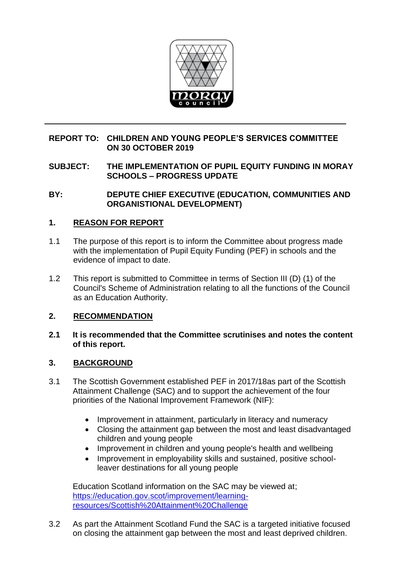

## **REPORT TO: CHILDREN AND YOUNG PEOPLE'S SERVICES COMMITTEE ON 30 OCTOBER 2019**

**SUBJECT: THE IMPLEMENTATION OF PUPIL EQUITY FUNDING IN MORAY SCHOOLS – PROGRESS UPDATE**

**BY: DEPUTE CHIEF EXECUTIVE (EDUCATION, COMMUNITIES AND ORGANISTIONAL DEVELOPMENT)**

### **1. REASON FOR REPORT**

- 1.1 The purpose of this report is to inform the Committee about progress made with the implementation of Pupil Equity Funding (PEF) in schools and the evidence of impact to date.
- 1.2 This report is submitted to Committee in terms of Section III (D) (1) of the Council's Scheme of Administration relating to all the functions of the Council as an Education Authority.

#### **2. RECOMMENDATION**

#### **2.1 It is recommended that the Committee scrutinises and notes the content of this report.**

#### **3. BACKGROUND**

- 3.1 The Scottish Government established PEF in 2017/18as part of the Scottish Attainment Challenge (SAC) and to support the achievement of the four priorities of the National Improvement Framework (NIF):
	- Improvement in attainment, particularly in literacy and numeracy
	- Closing the attainment gap between the most and least disadvantaged children and young people
	- Improvement in children and young people's health and wellbeing
	- Improvement in employability skills and sustained, positive schoolleaver destinations for all young people

Education Scotland information on the SAC may be viewed at; [https://education.gov.scot/improvement/learning](https://education.gov.scot/improvement/learning-resources/Scottish%20Attainment%20Challenge)[resources/Scottish%20Attainment%20Challenge](https://education.gov.scot/improvement/learning-resources/Scottish%20Attainment%20Challenge)

3.2 As part the Attainment Scotland Fund the SAC is a targeted initiative focused on closing the attainment gap between the most and least deprived children.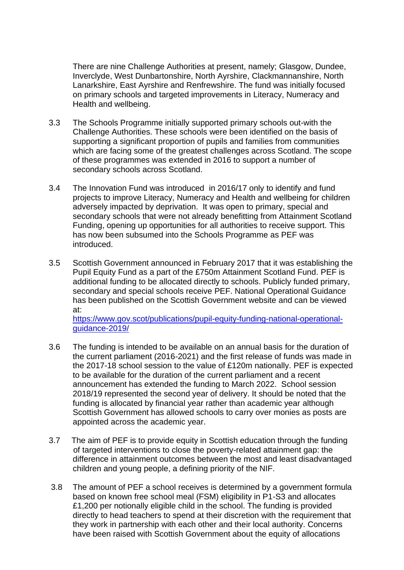There are nine Challenge Authorities at present, namely; Glasgow, Dundee, Inverclyde, West Dunbartonshire, North Ayrshire, Clackmannanshire, North Lanarkshire, East Ayrshire and Renfrewshire. The fund was initially focused on primary schools and targeted improvements in Literacy, Numeracy and Health and wellbeing.

- 3.3 The Schools Programme initially supported primary schools out-with the Challenge Authorities. These schools were been identified on the basis of supporting a significant proportion of pupils and families from communities which are facing some of the greatest challenges across Scotland. The scope of these programmes was extended in 2016 to support a number of secondary schools across Scotland.
- 3.4 The Innovation Fund was introduced in 2016/17 only to identify and fund projects to improve Literacy, Numeracy and Health and wellbeing for children adversely impacted by deprivation. It was open to primary, special and secondary schools that were not already benefitting from Attainment Scotland Funding, opening up opportunities for all authorities to receive support. This has now been subsumed into the Schools Programme as PEF was introduced.
- 3.5 Scottish Government announced in February 2017 that it was establishing the Pupil Equity Fund as a part of the £750m Attainment Scotland Fund. PEF is additional funding to be allocated directly to schools. Publicly funded primary, secondary and special schools receive PEF. National Operational Guidance has been published on the Scottish Government website and can be viewed at:

[https://www.gov.scot/publications/pupil-equity-funding-national-operational](https://www.gov.scot/publications/pupil-equity-funding-national-operational-guidance-2019/)[guidance-2019/](https://www.gov.scot/publications/pupil-equity-funding-national-operational-guidance-2019/)

- 3.6 The funding is intended to be available on an annual basis for the duration of the current parliament (2016-2021) and the first release of funds was made in the 2017-18 school session to the value of £120m nationally. PEF is expected to be available for the duration of the current parliament and a recent announcement has extended the funding to March 2022. School session 2018/19 represented the second year of delivery. It should be noted that the funding is allocated by financial year rather than academic year although Scottish Government has allowed schools to carry over monies as posts are appointed across the academic year.
- 3.7 The aim of PEF is to provide equity in Scottish education through the funding of targeted interventions to close the poverty-related attainment gap: the difference in attainment outcomes between the most and least disadvantaged children and young people, a defining priority of the NIF.
- 3.8 The amount of PEF a school receives is determined by a government formula based on known free school meal (FSM) eligibility in P1-S3 and allocates £1,200 per notionally eligible child in the school. The funding is provided directly to head teachers to spend at their discretion with the requirement that they work in partnership with each other and their local authority. Concerns have been raised with Scottish Government about the equity of allocations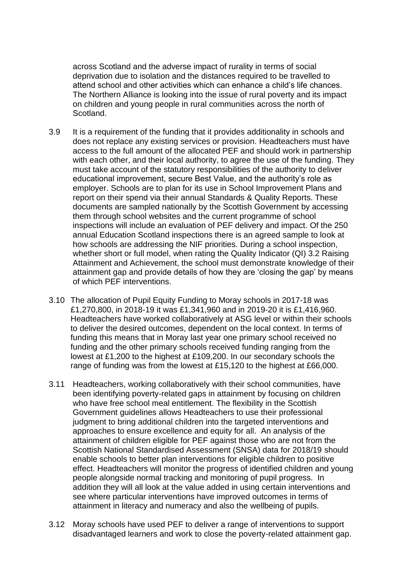across Scotland and the adverse impact of rurality in terms of social deprivation due to isolation and the distances required to be travelled to attend school and other activities which can enhance a child's life chances. The Northern Alliance is looking into the issue of rural poverty and its impact on children and young people in rural communities across the north of Scotland.

- 3.9 It is a requirement of the funding that it provides additionality in schools and does not replace any existing services or provision. Headteachers must have access to the full amount of the allocated PEF and should work in partnership with each other, and their local authority, to agree the use of the funding. They must take account of the statutory responsibilities of the authority to deliver educational improvement, secure Best Value, and the authority's role as employer. Schools are to plan for its use in School Improvement Plans and report on their spend via their annual Standards & Quality Reports. These documents are sampled nationally by the Scottish Government by accessing them through school websites and the current programme of school inspections will include an evaluation of PEF delivery and impact. Of the 250 annual Education Scotland inspections there is an agreed sample to look at how schools are addressing the NIF priorities. During a school inspection, whether short or full model, when rating the Quality Indicator (QI) 3.2 Raising Attainment and Achievement, the school must demonstrate knowledge of their attainment gap and provide details of how they are 'closing the gap' by means of which PEF interventions.
- 3.10 The allocation of Pupil Equity Funding to Moray schools in 2017-18 was £1,270,800, in 2018-19 it was £1,341,960 and in 2019-20 it is £1,416,960. Headteachers have worked collaboratively at ASG level or within their schools to deliver the desired outcomes, dependent on the local context. In terms of funding this means that in Moray last year one primary school received no funding and the other primary schools received funding ranging from the lowest at £1,200 to the highest at £109,200. In our secondary schools the range of funding was from the lowest at £15,120 to the highest at £66,000.
- 3.11 Headteachers, working collaboratively with their school communities, have been identifying poverty-related gaps in attainment by focusing on children who have free school meal entitlement. The flexibility in the Scottish Government guidelines allows Headteachers to use their professional judgment to bring additional children into the targeted interventions and approaches to ensure excellence and equity for all. An analysis of the attainment of children eligible for PEF against those who are not from the Scottish National Standardised Assessment (SNSA) data for 2018/19 should enable schools to better plan interventions for eligible children to positive effect. Headteachers will monitor the progress of identified children and young people alongside normal tracking and monitoring of pupil progress. In addition they will all look at the value added in using certain interventions and see where particular interventions have improved outcomes in terms of attainment in literacy and numeracy and also the wellbeing of pupils.
- 3.12 Moray schools have used PEF to deliver a range of interventions to support disadvantaged learners and work to close the poverty-related attainment gap.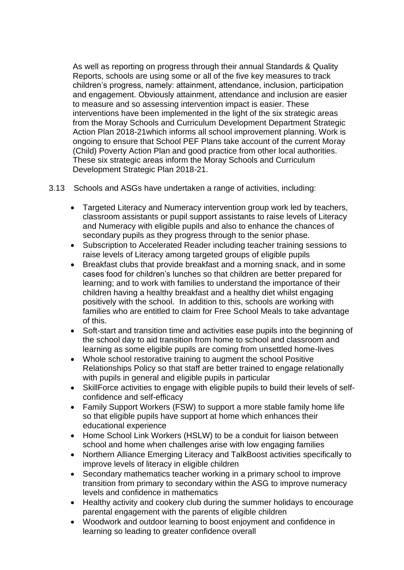As well as reporting on progress through their annual Standards & Quality Reports, schools are using some or all of the five key measures to track children's progress, namely: attainment, attendance, inclusion, participation and engagement. Obviously attainment, attendance and inclusion are easier to measure and so assessing intervention impact is easier. These interventions have been implemented in the light of the six strategic areas from the Moray Schools and Curriculum Development Department Strategic Action Plan 2018-21which informs all school improvement planning. Work is ongoing to ensure that School PEF Plans take account of the current Moray (Child) Poverty Action Plan and good practice from other local authorities. These six strategic areas inform the Moray Schools and Curriculum Development Strategic Plan 2018-21.

3.13 Schools and ASGs have undertaken a range of activities, including:

- Targeted Literacy and Numeracy intervention group work led by teachers, classroom assistants or pupil support assistants to raise levels of Literacy and Numeracy with eligible pupils and also to enhance the chances of secondary pupils as they progress through to the senior phase.
- Subscription to Accelerated Reader including teacher training sessions to raise levels of Literacy among targeted groups of eligible pupils
- Breakfast clubs that provide breakfast and a morning snack, and in some cases food for children's lunches so that children are better prepared for learning; and to work with families to understand the importance of their children having a healthy breakfast and a healthy diet whilst engaging positively with the school. In addition to this, schools are working with families who are entitled to claim for Free School Meals to take advantage of this.
- Soft-start and transition time and activities ease pupils into the beginning of the school day to aid transition from home to school and classroom and learning as some eligible pupils are coming from unsettled home-lives
- Whole school restorative training to augment the school Positive Relationships Policy so that staff are better trained to engage relationally with pupils in general and eligible pupils in particular
- SkillForce activities to engage with eligible pupils to build their levels of selfconfidence and self-efficacy
- Family Support Workers (FSW) to support a more stable family home life so that eligible pupils have support at home which enhances their educational experience
- Home School Link Workers (HSLW) to be a conduit for liaison between school and home when challenges arise with low engaging families
- Northern Alliance Emerging Literacy and TalkBoost activities specifically to improve levels of literacy in eligible children
- Secondary mathematics teacher working in a primary school to improve transition from primary to secondary within the ASG to improve numeracy levels and confidence in mathematics
- Healthy activity and cookery club during the summer holidays to encourage parental engagement with the parents of eligible children
- Woodwork and outdoor learning to boost enjoyment and confidence in learning so leading to greater confidence overall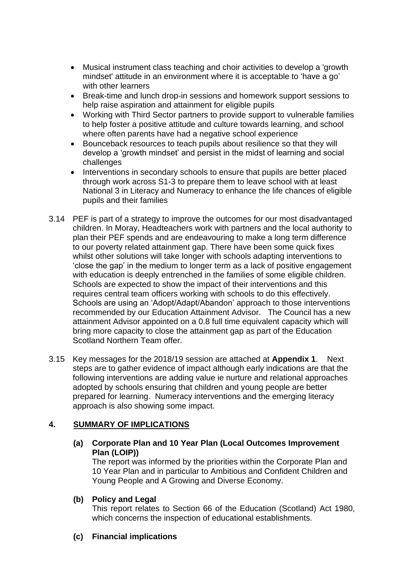- Musical instrument class teaching and choir activities to develop a 'growth mindset' attitude in an environment where it is acceptable to 'have a go' with other learners
- Break-time and lunch drop-in sessions and homework support sessions to help raise aspiration and attainment for eligible pupils
- Working with Third Sector partners to provide support to vulnerable families to help foster a positive attitude and culture towards learning, and school where often parents have had a negative school experience
- Bounceback resources to teach pupils about resilience so that they will develop a 'growth mindset' and persist in the midst of learning and social challenges
- Interventions in secondary schools to ensure that pupils are better placed through work across S1-3 to prepare them to leave school with at least National 3 in Literacy and Numeracy to enhance the life chances of eligible pupils and their families
- 3.14 PEF is part of a strategy to improve the outcomes for our most disadvantaged children. In Moray, Headteachers work with partners and the local authority to plan their PEF spends and are endeavouring to make a long term difference to our poverty related attainment gap. There have been some quick fixes whilst other solutions will take longer with schools adapting interventions to 'close the gap' in the medium to longer term as a lack of positive engagement with education is deeply entrenched in the families of some eligible children. Schools are expected to show the impact of their interventions and this requires central team officers working with schools to do this effectively. Schools are using an 'Adopt/Adapt/Abandon' approach to those interventions recommended by our Education Attainment Advisor. The Council has a new attainment Advisor appointed on a 0.8 full time equivalent capacity which will bring more capacity to close the attainment gap as part of the Education Scotland Northern Team offer.
- 3.15 Key messages for the 2018/19 session are attached at **Appendix 1**. Next steps are to gather evidence of impact although early indications are that the following interventions are adding value ie nurture and relational approaches adopted by schools ensuring that children and young people are better prepared for learning. Numeracy interventions and the emerging literacy approach is also showing some impact.

# **4. SUMMARY OF IMPLICATIONS**

### **(a) Corporate Plan and 10 Year Plan (Local Outcomes Improvement Plan (LOIP))**

The report was informed by the priorities within the Corporate Plan and 10 Year Plan and in particular to Ambitious and Confident Children and Young People and A Growing and Diverse Economy.

# **(b) Policy and Legal**

This report relates to Section 66 of the Education (Scotland) Act 1980, which concerns the inspection of educational establishments.

# **(c) Financial implications**